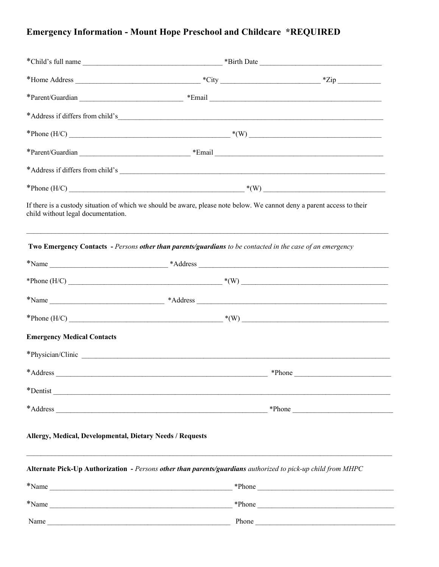# Emergency Information - Mount Hope Preschool and Childcare \*REQUIRED

|                                    | *Child's full name                                                                                                                                                                                                             |                  |
|------------------------------------|--------------------------------------------------------------------------------------------------------------------------------------------------------------------------------------------------------------------------------|------------------|
|                                    |                                                                                                                                                                                                                                |                  |
|                                    |                                                                                                                                                                                                                                |                  |
|                                    | *Address if differs from child's                                                                                                                                                                                               |                  |
|                                    |                                                                                                                                                                                                                                |                  |
|                                    |                                                                                                                                                                                                                                |                  |
|                                    |                                                                                                                                                                                                                                |                  |
|                                    |                                                                                                                                                                                                                                |                  |
| child without legal documentation. | If there is a custody situation of which we should be aware, please note below. We cannot deny a parent access to their                                                                                                        |                  |
|                                    | Two Emergency Contacts - Persons other than parents/guardians to be contacted in the case of an emergency                                                                                                                      |                  |
|                                    |                                                                                                                                                                                                                                |                  |
|                                    |                                                                                                                                                                                                                                |                  |
|                                    |                                                                                                                                                                                                                                |                  |
|                                    |                                                                                                                                                                                                                                |                  |
| <b>Emergency Medical Contacts</b>  |                                                                                                                                                                                                                                |                  |
|                                    | *Physician/Clinic expansion of the state of the state of the state of the state of the state of the state of the state of the state of the state of the state of the state of the state of the state of the state of the state |                  |
| *Address                           |                                                                                                                                                                                                                                | *Phone           |
|                                    | *Dentist                                                                                                                                                                                                                       |                  |
|                                    |                                                                                                                                                                                                                                |                  |
|                                    |                                                                                                                                                                                                                                |                  |
|                                    | Allergy, Medical, Developmental, Dietary Needs / Requests                                                                                                                                                                      |                  |
|                                    | Alternate Pick-Up Authorization - Persons other than parents/guardians authorized to pick-up child from MHPC                                                                                                                   |                  |
|                                    | $*$ Name                                                                                                                                                                                                                       |                  |
|                                    | $N$ ame                                                                                                                                                                                                                        | *Phone<br>*Phone |